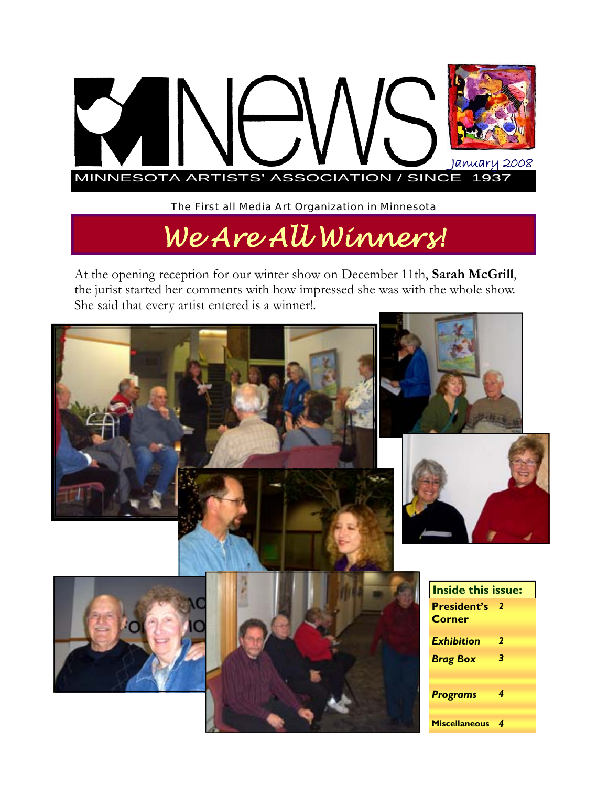

The First all Media Art Organization in Minnesota

# *We Are All Winners!*

At the opening reception for our winter show on December 11th, **Sarah McGrill**, the jurist started her comments with how impressed she was with the whole show. She said that every artist entered is a winner!.

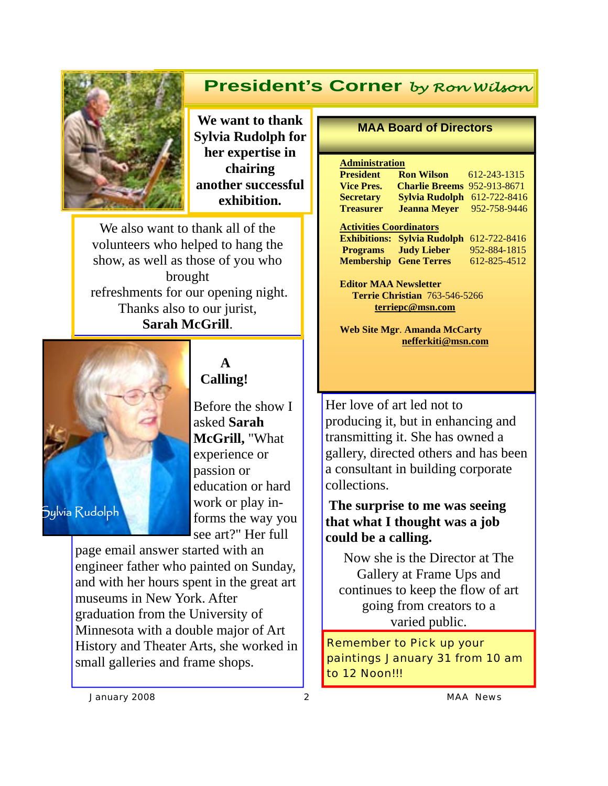## **President's Corner** *by Ron Wilson*



**We want to thank Sylvia Rudolph for her expertise in chairing another successful exhibition.** 

We also want to thank all of the volunteers who helped to hang the show, as well as those of you who brought refreshments for our opening night. Thanks also to our jurist, **Sarah McGrill**.



### **A Calling!**

Before the show I asked **Sarah McGrill,** "What experience or passion or education or hard work or play informs the way you see art?" Her full

page email answer started with an engineer father who painted on Sunday, and with her hours spent in the great art museums in New York. After graduation from the University of Minnesota with a double major of Art History and Theater Arts, she worked in small galleries and frame shops.

#### **MAA Board of Directors**

#### **Administration**

| <b>President</b>               | <b>Ron Wilson</b> 612-243-1315     |              |
|--------------------------------|------------------------------------|--------------|
| <b>Vice Pres.</b>              | <b>Charlie Breems 952-913-8671</b> |              |
| Secretary                      | <b>Sylvia Rudolph</b>              | 612-722-8416 |
| <b>Treasurer</b>               | <b>Jeanna Meyer</b>                | 952-758-9446 |
| <b>Activities Coordinators</b> |                                    |              |
|                                | <b>Exhibitions: Sylvia Rudolph</b> | 612-722-8416 |
|                                | <b>Programs</b> Judy Lieber        | 952-884-1815 |

**Membership Gene Terres** 612-825-4512

**Editor MAA Newsletter Terrie Christian** 763-546-5266 **terriepc@msn.com**

**Web Site Mgr**. **Amanda McCarty nefferkiti@msn.com** 

Her love of art led not to producing it, but in enhancing and transmitting it. She has owned a gallery, directed others and has been a consultant in building corporate collections.

## **The surprise to me was seeing that what I thought was a job could be a calling.**

Now she is the Director at The Gallery at Frame Ups and continues to keep the flow of art going from creators to a varied public.

Remember to Pick up your paintings January 31 from 10 am to 12 Noon!!!

*January 2008 2 MAA News*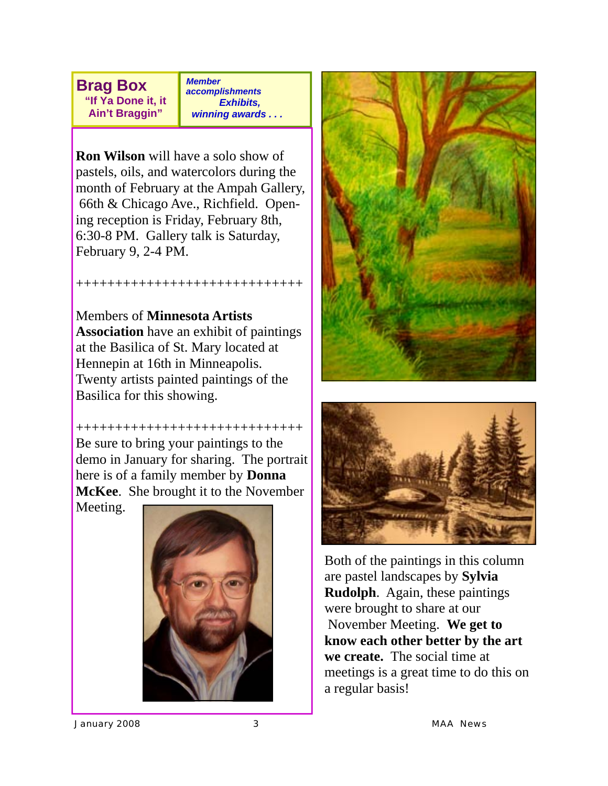**Brag Box "If Ya Done it, it** 

**Ain't Braggin"** 

*Member accomplishments Exhibits, winning awards . . .* 

**Ron Wilson** will have a solo show of pastels, oils, and watercolors during the month of February at the Ampah Gallery, 66th & Chicago Ave., Richfield. Opening reception is Friday, February 8th, 6:30-8 PM. Gallery talk is Saturday, February 9, 2-4 PM.

+++++++++++++++++++++++++++++

Members of **Minnesota Artists Association** have an exhibit of paintings at the Basilica of St. Mary located at Hennepin at 16th in Minneapolis. Twenty artists painted paintings of the Basilica for this showing.

+++++++++++++++++++++++++++++ Be sure to bring your paintings to the demo in January for sharing. The portrait here is of a family member by **Donna McKee**. She brought it to the November

Meeting.







Both of the paintings in this column are pastel landscapes by **Sylvia Rudolph**. Again, these paintings were brought to share at our November Meeting. **We get to know each other better by the art we create.** The social time at meetings is a great time to do this on a regular basis!

*January 2008 3 MAA News*